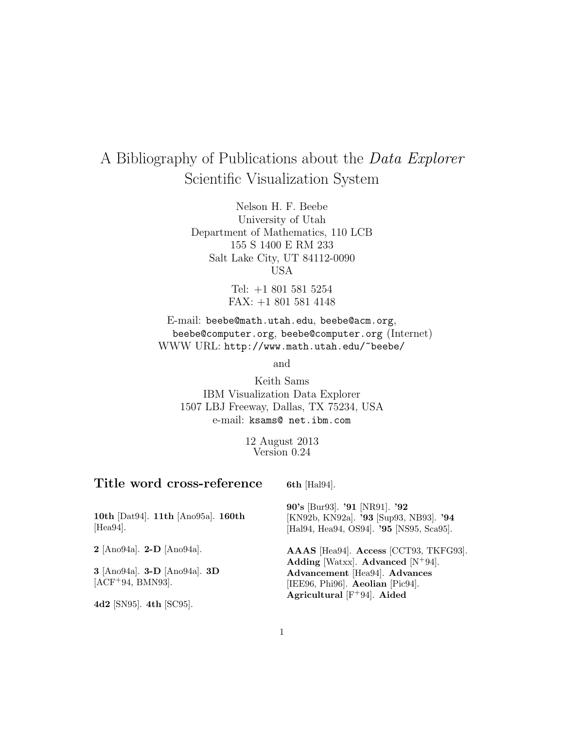# A Bibliography of Publications about the Data Explorer Scientific Visualization System

Nelson H. F. Beebe University of Utah Department of Mathematics, 110 LCB 155 S 1400 E RM 233 Salt Lake City, UT 84112-0090 USA

> Tel: +1 801 581 5254 FAX: +1 801 581 4148

E-mail: beebe@math.utah.edu, beebe@acm.org, beebe@computer.org, beebe@computer.org (Internet) WWW URL: http://www.math.utah.edu/~beebe/

and

Keith Sams IBM Visualization Data Explorer 1507 LBJ Freeway, Dallas, TX 75234, USA e-mail: ksams@ net.ibm.com

> 12 August 2013 Version 0.24

# **Title word cross-reference**

**6th** [Hal94].

| 10th [Dat94]. 11th [Ano95a]. 160th<br>$[Hea94]$ .  | 90's [Bur93]. '91 [NR91]. '92<br>[KN92b, KN92a]. '93 [Sup93, NB93]. '94<br>[Hal94, Hea94, OS94]. '95 [NS95, Sca95].                                                                 |
|----------------------------------------------------|-------------------------------------------------------------------------------------------------------------------------------------------------------------------------------------|
| $2$ [Ano94a]. $2-D$ [Ano94a].                      | AAAS [Hea94]. Access [CCT93, TKFG93].<br>Adding [Watxx]. Advanced $[N^+94]$ .<br>Advancement [Hea94]. Advances<br>[IEE96, Phi96]. Aeolian [Pic94].<br>Agricultural $[F+94]$ . Aided |
| 3 [Ano94a]. 3-D [Ano94a]. 3D<br>$[ACF+94, BMN93].$ |                                                                                                                                                                                     |
| 4d2 [SN95]. 4th [SC95].                            |                                                                                                                                                                                     |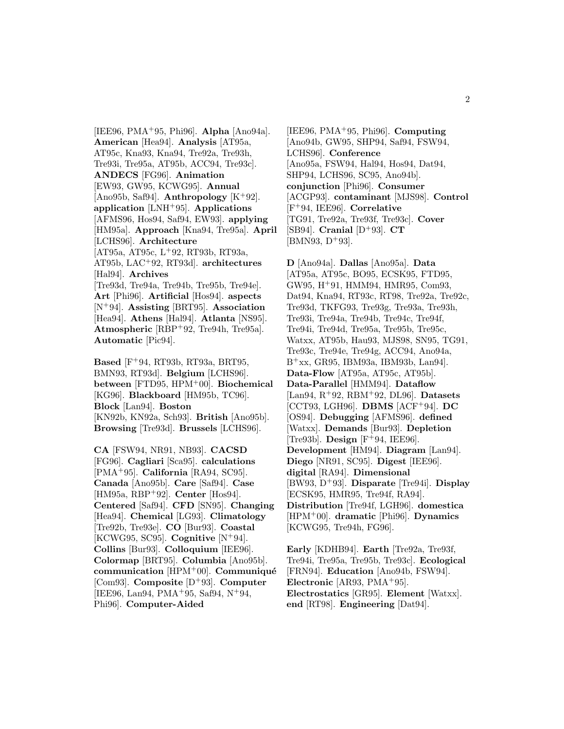[IEE96, PMA<sup>+</sup>95, Phi96]. **Alpha** [Ano94a]. **American** [Hea94]. **Analysis** [AT95a, AT95c, Kna93, Kna94, Tre92a, Tre93h, Tre93i, Tre95a, AT95b, ACC94, Tre93c]. **ANDECS** [FG96]. **Animation** [EW93, GW95, KCWG95]. **Annual** [Ano95b, Saf94]. **Anthropology**  $[K^+92]$ . **application** [LNH<sup>+</sup>95]. **Applications** [AFMS96, Hos94, Saf94, EW93]. **applying** [HM95a]. **Approach** [Kna94, Tre95a]. **April** [LCHS96]. **Architecture** [AT95a, AT95c, L<sup>+</sup>92, RT93b, RT93a, AT95b, LAC<sup>+</sup>92, RT93d]. **architectures** [Hal94]. **Archives** [Tre93d, Tre94a, Tre94b, Tre95b, Tre94e]. **Art** [Phi96]. **Artificial** [Hos94]. **aspects** [N<sup>+</sup>94]. **Assisting** [BRT95]. **Association** [Hea94]. **Athens** [Hal94]. **Atlanta** [NS95]. **Atmospheric** [RBP<sup>+</sup>92, Tre94h, Tre95a]. **Automatic** [Pic94].

**Based** [F<sup>+</sup>94, RT93b, RT93a, BRT95, BMN93, RT93d]. **Belgium** [LCHS96]. **between** [FTD95, HPM<sup>+</sup>00]. **Biochemical** [KG96]. **Blackboard** [HM95b, TC96]. **Block** [Lan94]. **Boston** [KN92b, KN92a, Sch93]. **British** [Ano95b]. **Browsing** [Tre93d]. **Brussels** [LCHS96].

**CA** [FSW94, NR91, NB93]. **CACSD** [FG96]. **Cagliari** [Sca95]. **calculations** [PMA<sup>+</sup>95]. **California** [RA94, SC95]. **Canada** [Ano95b]. **Care** [Saf94]. **Case** [HM95a, RBP<sup>+</sup>92]. **Center** [Hos94]. **Centered** [Saf94]. **CFD** [SN95]. **Changing** [Hea94]. **Chemical** [LG93]. **Climatology** [Tre92b, Tre93e]. **CO** [Bur93]. **Coastal** [KCWG95, SC95]. **Cognitive** [N<sup>+</sup>94]. **Collins** [Bur93]. **Colloquium** [IEE96]. **Colormap** [BRT95]. **Columbia** [Ano95b]. **communication** [HPM<sup>+</sup>00]. **Communiqué** [Com93]. **Composite** [D<sup>+</sup>93]. **Computer** [IEE96, Lan94, PMA<sup>+</sup>95, Saf94, N<sup>+</sup>94, Phi96]. **Computer-Aided**

[IEE96, PMA<sup>+</sup>95, Phi96]. **Computing** [Ano94b, GW95, SHP94, Saf94, FSW94, LCHS96]. **Conference** [Ano95a, FSW94, Hal94, Hos94, Dat94, SHP94, LCHS96, SC95, Ano94b]. **conjunction** [Phi96]. **Consumer** [ACGP93]. **contaminant** [MJS98]. **Control** [F<sup>+</sup>94, IEE96]. **Correlative** [TG91, Tre92a, Tre93f, Tre93c]. **Cover**  $[SB94]$ . **Cranial**  $[D^+93]$ . **CT**  $[BMN93, D+93].$ 

**D** [Ano94a]. **Dallas** [Ano95a]. **Data** [AT95a, AT95c, BO95, ECSK95, FTD95, GW95, H<sup>+</sup>91, HMM94, HMR95, Com93, Dat94, Kna94, RT93c, RT98, Tre92a, Tre92c, Tre93d, TKFG93, Tre93g, Tre93a, Tre93h, Tre93i, Tre94a, Tre94b, Tre94c, Tre94f, Tre94i, Tre94d, Tre95a, Tre95b, Tre95c, Watxx, AT95b, Hau93, MJS98, SN95, TG91, Tre93c, Tre94e, Tre94g, ACC94, Ano94a,  $B<sup>+</sup>xx$ , GR95, IBM93a, IBM93b, Lan94. **Data-Flow** [AT95a, AT95c, AT95b]. **Data-Parallel** [HMM94]. **Dataflow** [Lan94, R<sup>+</sup>92, RBM<sup>+</sup>92, DL96]. **Datasets** [CCT93, LGH96]. **DBMS** [ACF<sup>+</sup>94]. **DC** [OS94]. **Debugging** [AFMS96]. **defined** [Watxx]. **Demands** [Bur93]. **Depletion** [Tre93b]. **Design** [F<sup>+</sup>94, IEE96]. **Development** [HM94]. **Diagram** [Lan94]. **Diego** [NR91, SC95]. **Digest** [IEE96]. **digital** [RA94]. **Dimensional** [BW93, D<sup>+</sup>93]. **Disparate** [Tre94i]. **Display** [ECSK95, HMR95, Tre94f, RA94]. **Distribution** [Tre94f, LGH96]. **domestica** [HPM<sup>+</sup>00]. **dramatic** [Phi96]. **Dynamics** [KCWG95, Tre94h, FG96].

**Early** [KDHB94]. **Earth** [Tre92a, Tre93f, Tre94i, Tre95a, Tre95b, Tre93c]. **Ecological** [FRN94]. **Education** [Ano94b, FSW94]. **Electronic** [AR93, PMA<sup>+</sup>95]. **Electrostatics** [GR95]. **Element** [Watxx]. **end** [RT98]. **Engineering** [Dat94].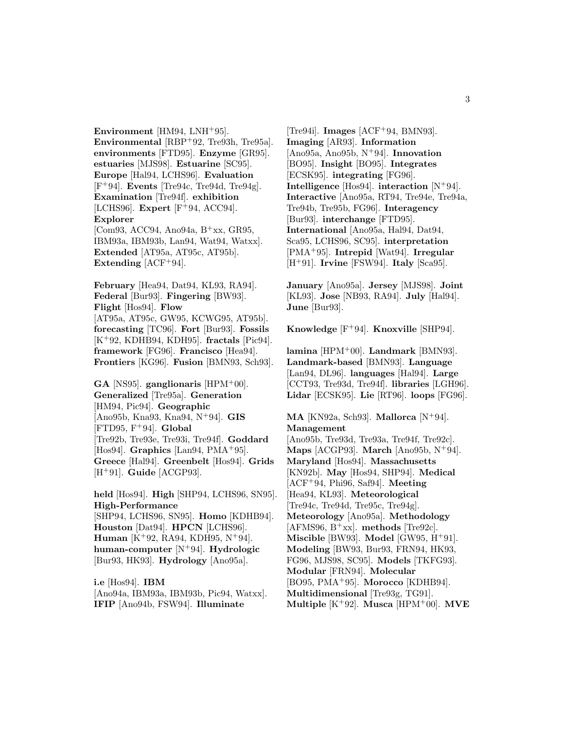**Environment** [HM94, LNH<sup>+</sup>95]. **Environmental** [RBP<sup>+</sup>92, Tre93h, Tre95a]. **environments** [FTD95]. **Enzyme** [GR95]. **estuaries** [MJS98]. **Estuarine** [SC95]. **Europe** [Hal94, LCHS96]. **Evaluation** [F<sup>+</sup>94]. **Events** [Tre94c, Tre94d, Tre94g]. **Examination** [Tre94f]. **exhibition** [LCHS96]. **Expert** [F<sup>+</sup>94, ACC94]. **Explorer** [Com93, ACC94, Ano94a,  $B^+xx$ , GR95, IBM93a, IBM93b, Lan94, Wat94, Watxx]. **Extended** [AT95a, AT95c, AT95b].

**Extending** [ACF<sup>+</sup>94].

**February** [Hea94, Dat94, KL93, RA94]. **Federal** [Bur93]. **Fingering** [BW93]. **Flight** [Hos94]. **Flow** [AT95a, AT95c, GW95, KCWG95, AT95b]. **forecasting** [TC96]. **Fort** [Bur93]. **Fossils** [K<sup>+</sup>92, KDHB94, KDH95]. **fractals** [Pic94]. **framework** [FG96]. **Francisco** [Hea94]. **Frontiers** [KG96]. **Fusion** [BMN93, Sch93].

**GA** [NS95]. **ganglionaris** [HPM<sup>+</sup>00]. **Generalized** [Tre95a]. **Generation** [HM94, Pic94]. **Geographic** [Ano95b, Kna93, Kna94, N<sup>+</sup>94]. **GIS** [FTD95, F<sup>+</sup>94]. **Global** [Tre92b, Tre93e, Tre93i, Tre94f]. **Goddard** [Hos94]. **Graphics** [Lan94, PMA<sup>+</sup>95]. **Greece** [Hal94]. **Greenbelt** [Hos94]. **Grids** [H<sup>+</sup>91]. **Guide** [ACGP93].

**held** [Hos94]. **High** [SHP94, LCHS96, SN95]. **High-Performance** [SHP94, LCHS96, SN95]. **Homo** [KDHB94]. **Houston** [Dat94]. **HPCN** [LCHS96]. **Human** [K<sup>+</sup>92, RA94, KDH95, N<sup>+</sup>94]. **human-computer** [N<sup>+</sup>94]. **Hydrologic** [Bur93, HK93]. **Hydrology** [Ano95a].

**i.e** [Hos94]. **IBM** [Ano94a, IBM93a, IBM93b, Pic94, Watxx]. **IFIP** [Ano94b, FSW94]. **Illuminate**

[Tre94i]. **Images** [ACF<sup>+</sup>94, BMN93]. **Imaging** [AR93]. **Information** [Ano95a, Ano95b, N<sup>+</sup>94]. **Innovation** [BO95]. **Insight** [BO95]. **Integrates** [ECSK95]. **integrating** [FG96]. **Intelligence** [Hos94]. **interaction** [N<sup>+</sup>94]. **Interactive** [Ano95a, RT94, Tre94e, Tre94a, Tre94b, Tre95b, FG96]. **Interagency** [Bur93]. **interchange** [FTD95]. **International** [Ano95a, Hal94, Dat94, Sca95, LCHS96, SC95]. **interpretation** [PMA<sup>+</sup>95]. **Intrepid** [Wat94]. **Irregular** [H<sup>+</sup>91]. **Irvine** [FSW94]. **Italy** [Sca95].

**January** [Ano95a]. **Jersey** [MJS98]. **Joint** [KL93]. **Jose** [NB93, RA94]. **July** [Hal94]. **June** [Bur93].

**Knowledge** [F<sup>+</sup>94]. **Knoxville** [SHP94].

**lamina** [HPM<sup>+</sup>00]. **Landmark** [BMN93]. **Landmark-based** [BMN93]. **Language** [Lan94, DL96]. **languages** [Hal94]. **Large** [CCT93, Tre93d, Tre94f]. **libraries** [LGH96]. **Lidar** [ECSK95]. **Lie** [RT96]. **loops** [FG96].

**MA** [KN92a, Sch93]. **Mallorca** [N<sup>+</sup>94]. **Management** [Ano95b, Tre93d, Tre93a, Tre94f, Tre92c]. **Maps** [ACGP93]. **March** [Ano95b, N<sup>+</sup>94]. **Maryland** [Hos94]. **Massachusetts** [KN92b]. **May** [Hos94, SHP94]. **Medical** [ACF<sup>+</sup>94, Phi96, Saf94]. **Meeting** [Hea94, KL93]. **Meteorological** [Tre94c, Tre94d, Tre95c, Tre94g]. **Meteorology** [Ano95a]. **Methodology**  $[AFMS96, B<sup>+</sup>xx]$ . **methods**  $[Tree92c]$ . **Miscible** [BW93]. **Model** [GW95, H<sup>+</sup>91]. **Modeling** [BW93, Bur93, FRN94, HK93, FG96, MJS98, SC95]. **Models** [TKFG93]. **Modular** [FRN94]. **Molecular** [BO95, PMA<sup>+</sup>95]. **Morocco** [KDHB94]. **Multidimensional** [Tre93g, TG91]. **Multiple** [K<sup>+</sup>92]. **Musca** [HPM<sup>+</sup>00]. **MVE**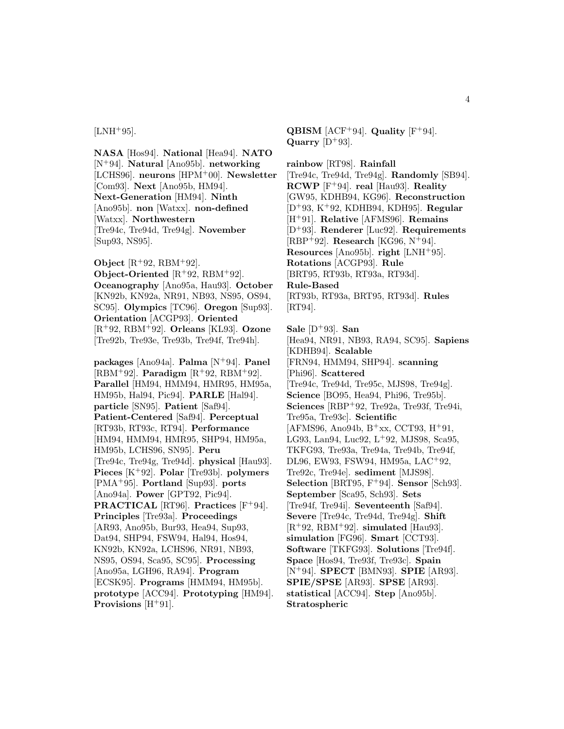#### $[LMH+95]$ .

**NASA** [Hos94]. **National** [Hea94]. **NATO** [N<sup>+</sup>94]. **Natural** [Ano95b]. **networking** [LCHS96]. **neurons** [HPM<sup>+</sup>00]. **Newsletter** [Com93]. **Next** [Ano95b, HM94]. **Next-Generation** [HM94]. **Ninth** [Ano95b]. **non** [Watxx]. **non-defined** [Watxx]. **Northwestern** [Tre94c, Tre94d, Tre94g]. **November** [Sup93, NS95].

**Object** [R<sup>+</sup>92, RBM<sup>+</sup>92].

**Object-Oriented** [R<sup>+</sup>92, RBM<sup>+</sup>92]. **Oceanography** [Ano95a, Hau93]. **October** [KN92b, KN92a, NR91, NB93, NS95, OS94, SC95]. **Olympics** [TC96]. **Oregon** [Sup93]. **Orientation** [ACGP93]. **Oriented** [R<sup>+</sup>92, RBM<sup>+</sup>92]. **Orleans** [KL93]. **Ozone** [Tre92b, Tre93e, Tre93b, Tre94f, Tre94h].

**packages** [Ano94a]. **Palma** [N<sup>+</sup>94]. **Panel**  $[RBM<sup>+</sup>92]$ . **Paradigm**  $[R<sup>+</sup>92$ ,  $RBM<sup>+</sup>92]$ . **Parallel** [HM94, HMM94, HMR95, HM95a, HM95b, Hal94, Pic94]. **PARLE** [Hal94]. **particle** [SN95]. **Patient** [Saf94]. **Patient-Centered** [Saf94]. **Perceptual** [RT93b, RT93c, RT94]. **Performance** [HM94, HMM94, HMR95, SHP94, HM95a, HM95b, LCHS96, SN95]. **Peru** [Tre94c, Tre94g, Tre94d]. **physical** [Hau93]. **Pieces** [K<sup>+</sup>92]. **Polar** [Tre93b]. **polymers** [PMA<sup>+</sup>95]. **Portland** [Sup93]. **ports** [Ano94a]. **Power** [GPT92, Pic94]. **PRACTICAL** [RT96]. **Practices** [F<sup>+</sup>94]. **Principles** [Tre93a]. **Proceedings** [AR93, Ano95b, Bur93, Hea94, Sup93, Dat94, SHP94, FSW94, Hal94, Hos94, KN92b, KN92a, LCHS96, NR91, NB93, NS95, OS94, Sca95, SC95]. **Processing** [Ano95a, LGH96, RA94]. **Program** [ECSK95]. **Programs** [HMM94, HM95b]. **prototype** [ACC94]. **Prototyping** [HM94]. **Provisions** [H<sup>+</sup>91].

**QBISM** [ACF<sup>+94].</sup> **Quality** [F<sup>+94].</sup> **Quarry**  $[D+93]$ .

**rainbow** [RT98]. **Rainfall** [Tre94c, Tre94d, Tre94g]. **Randomly** [SB94]. **RCWP** [F<sup>+</sup>94]. **real** [Hau93]. **Reality** [GW95, KDHB94, KG96]. **Reconstruction** [D<sup>+</sup>93, K<sup>+</sup>92, KDHB94, KDH95]. **Regular** [H<sup>+</sup>91]. **Relative** [AFMS96]. **Remains** [D<sup>+</sup>93]. **Renderer** [Luc92]. **Requirements** [RBP<sup>+</sup>92]. **Research** [KG96, N<sup>+</sup>94]. **Resources** [Ano95b]. **right** [LNH<sup>+</sup>95]. **Rotations** [ACGP93]. **Rule** [BRT95, RT93b, RT93a, RT93d]. **Rule-Based** [RT93b, RT93a, BRT95, RT93d]. **Rules** [RT94].

**Sale** [D<sup>+</sup>93]. **San** [Hea94, NR91, NB93, RA94, SC95]. **Sapiens** [KDHB94]. **Scalable** [FRN94, HMM94, SHP94]. **scanning** [Phi96]. **Scattered** [Tre94c, Tre94d, Tre95c, MJS98, Tre94g]. **Science** [BO95, Hea94, Phi96, Tre95b]. **Sciences** [RBP<sup>+</sup>92, Tre92a, Tre93f, Tre94i, Tre95a, Tre93c]. **Scientific**  $[AFMS96, Ano94b, B<sup>+</sup>xx, CCT93, H<sup>+</sup>91,$ LG93, Lan94, Luc92, L<sup>+</sup>92, MJS98, Sca95, TKFG93, Tre93a, Tre94a, Tre94b, Tre94f, DL96, EW93, FSW94, HM95a, LAC<sup>+</sup>92, Tre92c, Tre94e]. **sediment** [MJS98]. **Selection** [BRT95, F<sup>+</sup>94]. **Sensor** [Sch93]. **September** [Sca95, Sch93]. **Sets** [Tre94f, Tre94i]. **Seventeenth** [Saf94]. **Severe** [Tre94c, Tre94d, Tre94g]. **Shift** [R<sup>+</sup>92, RBM<sup>+</sup>92]. **simulated** [Hau93]. **simulation** [FG96]. **Smart** [CCT93]. **Software** [TKFG93]. **Solutions** [Tre94f]. **Space** [Hos94, Tre93f, Tre93c]. **Spain** [N<sup>+</sup>94]. **SPECT** [BMN93]. **SPIE** [AR93]. **SPIE/SPSE** [AR93]. **SPSE** [AR93]. **statistical** [ACC94]. **Step** [Ano95b]. **Stratospheric**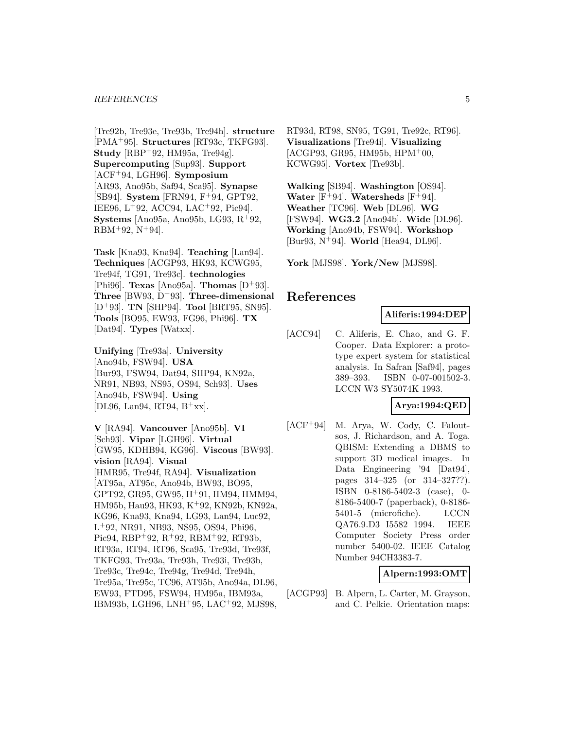#### *REFERENCES* 5

[Tre92b, Tre93e, Tre93b, Tre94h]. **structure** [PMA<sup>+</sup>95]. **Structures** [RT93c, TKFG93]. **Study** [RBP<sup>+</sup>92, HM95a, Tre94g]. **Supercomputing** [Sup93]. **Support** [ACF<sup>+</sup>94, LGH96]. **Symposium** [AR93, Ano95b, Saf94, Sca95]. **Synapse** [SB94]. **System** [FRN94, F<sup>+</sup>94, GPT92, IEE96, L<sup>+</sup>92, ACC94, LAC<sup>+</sup>92, Pic94]. **Systems** [Ano95a, Ano95b, LG93, R<sup>+</sup>92,  $RBM^+92, N^+94$ .

**Task** [Kna93, Kna94]. **Teaching** [Lan94]. **Techniques** [ACGP93, HK93, KCWG95, Tre94f, TG91, Tre93c]. **technologies** [Phi96]. **Texas** [Ano95a]. **Thomas** [D<sup>+</sup>93]. **Three** [BW93, D<sup>+</sup>93]. **Three-dimensional** [D<sup>+</sup>93]. **TN** [SHP94]. **Tool** [BRT95, SN95]. **Tools** [BO95, EW93, FG96, Phi96]. **TX** [Dat94]. **Types** [Watxx].

**Unifying** [Tre93a]. **University** [Ano94b, FSW94]. **USA** [Bur93, FSW94, Dat94, SHP94, KN92a, NR91, NB93, NS95, OS94, Sch93]. **Uses** [Ano94b, FSW94]. **Using** [DL96, Lan94, RT94,  $B^{+}xx$ ].

**V** [RA94]. **Vancouver** [Ano95b]. **VI** [Sch93]. **Vipar** [LGH96]. **Virtual** [GW95, KDHB94, KG96]. **Viscous** [BW93]. **vision** [RA94]. **Visual** [HMR95, Tre94f, RA94]. **Visualization** [AT95a, AT95c, Ano94b, BW93, BO95, GPT92, GR95, GW95, H<sup>+</sup>91, HM94, HMM94, HM95b, Hau93, HK93, K<sup>+</sup>92, KN92b, KN92a, KG96, Kna93, Kna94, LG93, Lan94, Luc92, L<sup>+</sup>92, NR91, NB93, NS95, OS94, Phi96, Pic94, RBP+92, R+92, RBM+92, RT93b, RT93a, RT94, RT96, Sca95, Tre93d, Tre93f, TKFG93, Tre93a, Tre93h, Tre93i, Tre93b, Tre93c, Tre94c, Tre94g, Tre94d, Tre94h, Tre95a, Tre95c, TC96, AT95b, Ano94a, DL96, EW93, FTD95, FSW94, HM95a, IBM93a, IBM93b, LGH96, LNH<sup>+</sup>95, LAC<sup>+</sup>92, MJS98,

RT93d, RT98, SN95, TG91, Tre92c, RT96]. **Visualizations** [Tre94i]. **Visualizing**  $[ACGP93, GR95, HM95b, HPM<sup>+</sup>00,$ KCWG95]. **Vortex** [Tre93b].

**Walking** [SB94]. **Washington** [OS94]. **Water**  $[F+94]$ . **Watersheds**  $[F+94]$ . **Weather** [TC96]. **Web** [DL96]. **WG** [FSW94]. **WG3.2** [Ano94b]. **Wide** [DL96]. **Working** [Ano94b, FSW94]. **Workshop** [Bur93, N<sup>+</sup>94]. **World** [Hea94, DL96].

**York** [MJS98]. **York/New** [MJS98].

# **References**

#### **Aliferis:1994:DEP**

[ACC94] C. Aliferis, E. Chao, and G. F. Cooper. Data Explorer: a prototype expert system for statistical analysis. In Safran [Saf94], pages 389–393. ISBN 0-07-001502-3. LCCN W3 SY5074K 1993.

# **Arya:1994:QED**

[ACF<sup>+</sup>94] M. Arya, W. Cody, C. Faloutsos, J. Richardson, and A. Toga. QBISM: Extending a DBMS to support 3D medical images. In Data Engineering '94 [Dat94], pages 314–325 (or 314–327??). ISBN 0-8186-5402-3 (case), 0- 8186-5400-7 (paperback), 0-8186- 5401-5 (microfiche). LCCN QA76.9.D3 I5582 1994. IEEE Computer Society Press order number 5400-02. IEEE Catalog Number 94CH3383-7.

#### **Alpern:1993:OMT**

[ACGP93] B. Alpern, L. Carter, M. Grayson, and C. Pelkie. Orientation maps: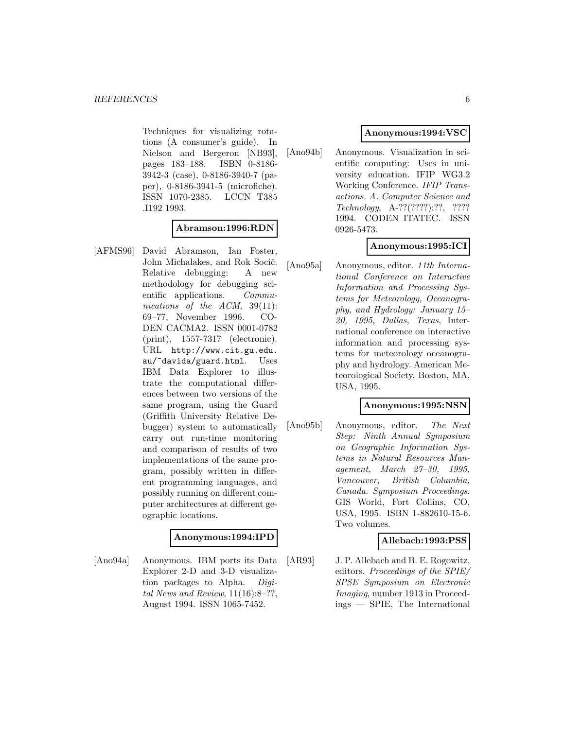Techniques for visualizing rotations (A consumer's guide). In Nielson and Bergeron [NB93], pages 183–188. ISBN 0-8186- 3942-3 (case), 0-8186-3940-7 (paper), 0-8186-3941-5 (microfiche). ISSN 1070-2385. LCCN T385 .I192 1993.

# **Abramson:1996:RDN**

[AFMS96] David Abramson, Ian Foster, John Michalakes, and Rok Socič. Relative debugging: A new methodology for debugging scientific applications. Communications of the ACM, 39(11): 69–77, November 1996. CO-DEN CACMA2. ISSN 0001-0782 (print), 1557-7317 (electronic). URL http://www.cit.gu.edu. au/~davida/guard.html. Uses IBM Data Explorer to illustrate the computational differences between two versions of the same program, using the Guard (Griffith University Relative Debugger) system to automatically carry out run-time monitoring and comparison of results of two implementations of the same program, possibly written in different programming languages, and possibly running on different computer architectures at different geographic locations.

#### **Anonymous:1994:IPD**

[Ano94a] Anonymous. IBM ports its Data Explorer 2-D and 3-D visualization packages to Alpha. Digital News and Review,  $11(16):8-?$ ?, August 1994. ISSN 1065-7452.

# **Anonymous:1994:VSC**

[Ano94b] Anonymous. Visualization in scientific computing: Uses in university education. IFIP WG3.2 Working Conference. IFIP Transactions. A. Computer Science and Technology, A-??(????):??, ???? 1994. CODEN ITATEC. ISSN 0926-5473.

# **Anonymous:1995:ICI**

[Ano95a] Anonymous, editor. 11th International Conference on Interactive Information and Processing Systems for Meteorology, Oceanography, and Hydrology: January 15– 20, 1995, Dallas, Texas, International conference on interactive information and processing systems for meteorology oceanography and hydrology. American Meteorological Society, Boston, MA, USA, 1995.

# **Anonymous:1995:NSN**

[Ano95b] Anonymous, editor. The Next Step: Ninth Annual Symposium on Geographic Information Systems in Natural Resources Management, March 27–30, 1995, Vancouver, British Columbia, Canada. Symposium Proceedings. GIS World, Fort Collins, CO, USA, 1995. ISBN 1-882610-15-6. Two volumes.

# **Allebach:1993:PSS**

[AR93] J. P. Allebach and B. E. Rogowitz, editors. Proceedings of the SPIE/ SPSE Symposium on Electronic Imaging, number 1913 in Proceedings — SPIE, The International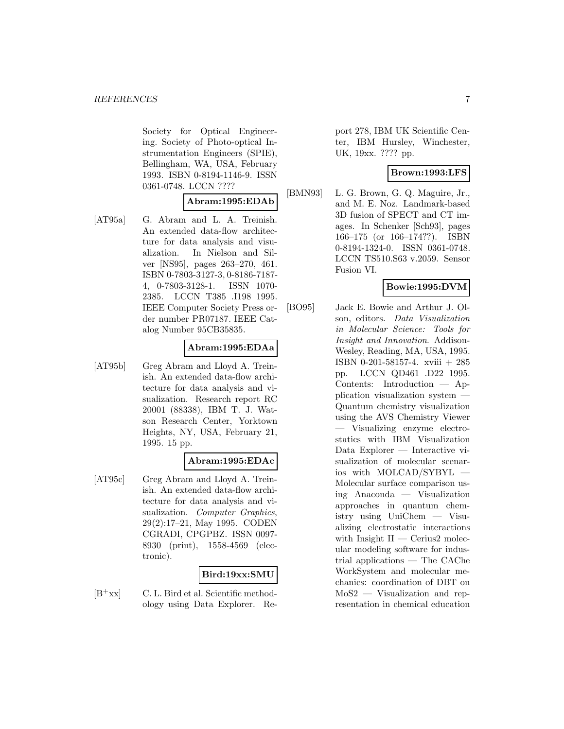Society for Optical Engineering. Society of Photo-optical Instrumentation Engineers (SPIE), Bellingham, WA, USA, February 1993. ISBN 0-8194-1146-9. ISSN 0361-0748. LCCN ????

# **Abram:1995:EDAb**

[AT95a] G. Abram and L. A. Treinish. An extended data-flow architecture for data analysis and visualization. In Nielson and Silver [NS95], pages 263–270, 461. ISBN 0-7803-3127-3, 0-8186-7187- 4, 0-7803-3128-1. ISSN 1070- 2385. LCCN T385 .I198 1995. IEEE Computer Society Press order number PR07187. IEEE Catalog Number 95CB35835.

#### **Abram:1995:EDAa**

[AT95b] Greg Abram and Lloyd A. Treinish. An extended data-flow architecture for data analysis and visualization. Research report RC 20001 (88338), IBM T. J. Watson Research Center, Yorktown Heights, NY, USA, February 21, 1995. 15 pp.

# **Abram:1995:EDAc**

[AT95c] Greg Abram and Lloyd A. Treinish. An extended data-flow architecture for data analysis and visualization. Computer Graphics, 29(2):17–21, May 1995. CODEN CGRADI, CPGPBZ. ISSN 0097- 8930 (print), 1558-4569 (electronic).

# **Bird:19xx:SMU**

 $[B^+xx]$  C. L. Bird et al. Scientific methodology using Data Explorer. Report 278, IBM UK Scientific Center, IBM Hursley, Winchester, UK, 19xx. ???? pp.

# **Brown:1993:LFS**

[BMN93] L. G. Brown, G. Q. Maguire, Jr., and M. E. Noz. Landmark-based 3D fusion of SPECT and CT images. In Schenker [Sch93], pages 166–175 (or 166–174??). ISBN 0-8194-1324-0. ISSN 0361-0748. LCCN TS510.S63 v.2059. Sensor Fusion VI.

# **Bowie:1995:DVM**

[BO95] Jack E. Bowie and Arthur J. Olson, editors. Data Visualization in Molecular Science: Tools for Insight and Innovation. Addison-Wesley, Reading, MA, USA, 1995. ISBN 0-201-58157-4. xviii + 285 pp. LCCN QD461 .D22 1995. Contents: Introduction — Application visualization system — Quantum chemistry visualization using the AVS Chemistry Viewer — Visualizing enzyme electrostatics with IBM Visualization Data Explorer — Interactive visualization of molecular scenarios with MOLCAD/SYBYL — Molecular surface comparison using Anaconda — Visualization approaches in quantum chemistry using UniChem — Visualizing electrostatic interactions with Insight II — Cerius2 molecular modeling software for industrial applications — The CAChe WorkSystem and molecular mechanics: coordination of DBT on MoS2 — Visualization and representation in chemical education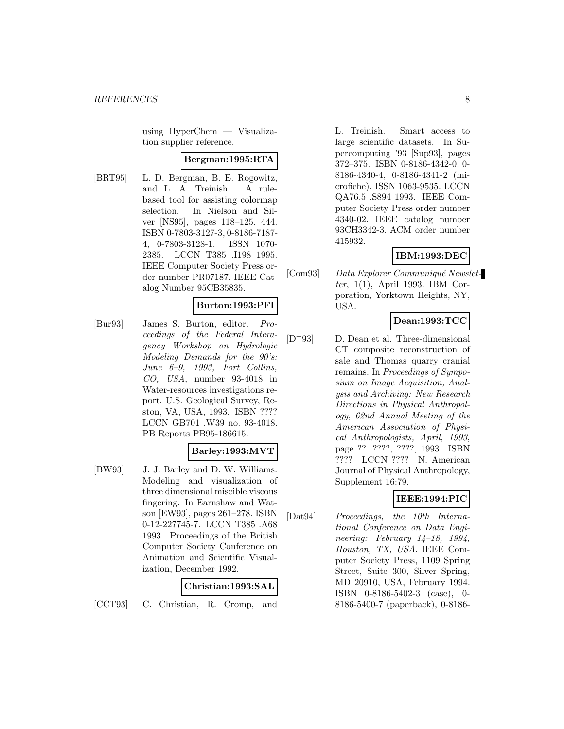using HyperChem — Visualization supplier reference.

#### **Bergman:1995:RTA**

[BRT95] L. D. Bergman, B. E. Rogowitz, and L. A. Treinish. A rulebased tool for assisting colormap selection. In Nielson and Silver [NS95], pages 118–125, 444. ISBN 0-7803-3127-3, 0-8186-7187- 4, 0-7803-3128-1. ISSN 1070- 2385. LCCN T385 .I198 1995. IEEE Computer Society Press order number PR07187. IEEE Catalog Number 95CB35835.

# **Burton:1993:PFI**

[Bur93] James S. Burton, editor. Proceedings of the Federal Interagency Workshop on Hydrologic Modeling Demands for the 90's: June 6–9, 1993, Fort Collins, CO, USA, number 93-4018 in Water-resources investigations report. U.S. Geological Survey, Reston, VA, USA, 1993. ISBN ???? LCCN GB701 .W39 no. 93-4018. PB Reports PB95-186615.

# **Barley:1993:MVT**

[BW93] J. J. Barley and D. W. Williams. Modeling and visualization of three dimensional miscible viscous fingering. In Earnshaw and Watson [EW93], pages 261–278. ISBN 0-12-227745-7. LCCN T385 .A68 1993. Proceedings of the British Computer Society Conference on Animation and Scientific Visualization, December 1992.

#### **Christian:1993:SAL**

[CCT93] C. Christian, R. Cromp, and

L. Treinish. Smart access to large scientific datasets. In Supercomputing '93 [Sup93], pages 372–375. ISBN 0-8186-4342-0, 0- 8186-4340-4, 0-8186-4341-2 (microfiche). ISSN 1063-9535. LCCN QA76.5 .S894 1993. IEEE Computer Society Press order number 4340-02. IEEE catalog number 93CH3342-3. ACM order number 415932.

# **IBM:1993:DEC**

[Com93] Data Explorer Communiqué Newsletter, 1(1), April 1993. IBM Corporation, Yorktown Heights, NY, USA.

#### **Dean:1993:TCC**

[D<sup>+</sup>93] D. Dean et al. Three-dimensional CT composite reconstruction of sale and Thomas quarry cranial remains. In Proceedings of Symposium on Image Acquisition, Analysis and Archiving: New Research Directions in Physical Anthropology, 62nd Annual Meeting of the American Association of Physical Anthropologists, April, 1993, page ?? ????, ????, 1993. ISBN ???? LCCN ???? N. American Journal of Physical Anthropology, Supplement 16:79.

# **IEEE:1994:PIC**

[Dat94] Proceedings, the 10th International Conference on Data Engineering: February 14–18, 1994, Houston, TX, USA. IEEE Computer Society Press, 1109 Spring Street, Suite 300, Silver Spring, MD 20910, USA, February 1994. ISBN 0-8186-5402-3 (case), 0- 8186-5400-7 (paperback), 0-8186-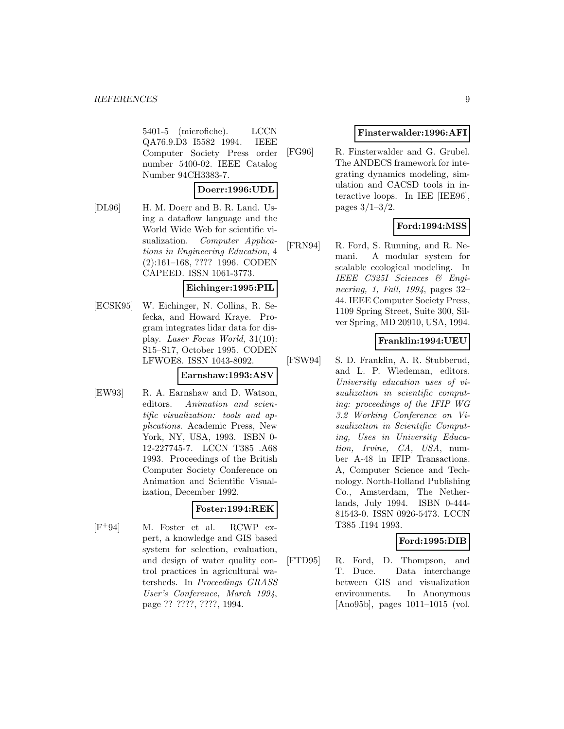5401-5 (microfiche). LCCN QA76.9.D3 I5582 1994. IEEE Computer Society Press order number 5400-02. IEEE Catalog Number 94CH3383-7.

#### **Doerr:1996:UDL**

[DL96] H. M. Doerr and B. R. Land. Using a dataflow language and the World Wide Web for scientific visualization. *Computer Applica*tions in Engineering Education, 4 (2):161–168, ???? 1996. CODEN CAPEED. ISSN 1061-3773.

#### **Eichinger:1995:PIL**

[ECSK95] W. Eichinger, N. Collins, R. Sefecka, and Howard Kraye. Program integrates lidar data for display. Laser Focus World, 31(10): S15–S17, October 1995. CODEN LFWOE8. ISSN 1043-8092.

#### **Earnshaw:1993:ASV**

[EW93] R. A. Earnshaw and D. Watson, editors. Animation and scientific visualization: tools and applications. Academic Press, New York, NY, USA, 1993. ISBN 0- 12-227745-7. LCCN T385 .A68 1993. Proceedings of the British Computer Society Conference on Animation and Scientific Visualization, December 1992.

# **Foster:1994:REK**

[F<sup>+</sup>94] M. Foster et al. RCWP expert, a knowledge and GIS based system for selection, evaluation, and design of water quality control practices in agricultural watersheds. In Proceedings GRASS User's Conference, March 1994, page ?? ????, ????, 1994.

# **Finsterwalder:1996:AFI**

[FG96] R. Finsterwalder and G. Grubel. The ANDECS framework for integrating dynamics modeling, simulation and CACSD tools in interactive loops. In IEE [IEE96], pages 3/1–3/2.

# **Ford:1994:MSS**

[FRN94] R. Ford, S. Running, and R. Nemani. A modular system for scalable ecological modeling. In IEEE C325I Sciences & Engineering, 1, Fall, 1994, pages 32– 44. IEEE Computer Society Press, 1109 Spring Street, Suite 300, Silver Spring, MD 20910, USA, 1994.

#### **Franklin:1994:UEU**

[FSW94] S. D. Franklin, A. R. Stubberud, and L. P. Wiedeman, editors. University education uses of visualization in scientific computing: proceedings of the IFIP WG 3.2 Working Conference on Visualization in Scientific Computing, Uses in University Education, Irvine, CA, USA, number A-48 in IFIP Transactions. A, Computer Science and Technology. North-Holland Publishing Co., Amsterdam, The Netherlands, July 1994. ISBN 0-444- 81543-0. ISSN 0926-5473. LCCN T385 .I194 1993.

# **Ford:1995:DIB**

[FTD95] R. Ford, D. Thompson, and T. Duce. Data interchange between GIS and visualization environments. In Anonymous [Ano95b], pages 1011–1015 (vol.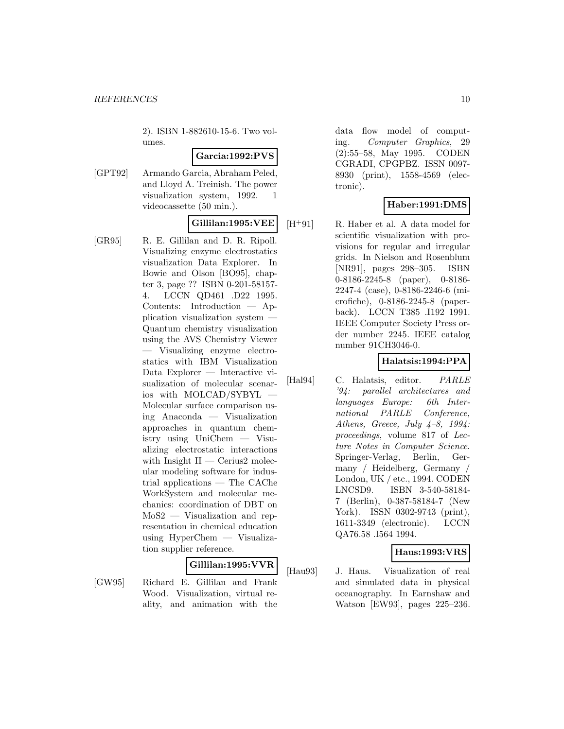2). ISBN 1-882610-15-6. Two volumes.

#### **Garcia:1992:PVS**

[GPT92] Armando Garcia, Abraham Peled, and Lloyd A. Treinish. The power visualization system, 1992. 1 videocassette (50 min.).

# **Gillilan:1995:VEE**

[GR95] R. E. Gillilan and D. R. Ripoll. Visualizing enzyme electrostatics visualization Data Explorer. In Bowie and Olson [BO95], chapter 3, page ?? ISBN 0-201-58157- 4. LCCN QD461 .D22 1995. Contents: Introduction — Application visualization system — Quantum chemistry visualization using the AVS Chemistry Viewer — Visualizing enzyme electrostatics with IBM Visualization Data Explorer — Interactive visualization of molecular scenarios with MOLCAD/SYBYL — Molecular surface comparison using Anaconda — Visualization approaches in quantum chemistry using UniChem — Visualizing electrostatic interactions with Insight  $II -$  Cerius2 molecular modeling software for industrial applications — The CAChe WorkSystem and molecular mechanics: coordination of DBT on MoS2 — Visualization and representation in chemical education using HyperChem — Visualization supplier reference.

# **Gillilan:1995:VVR**

[GW95] Richard E. Gillilan and Frank Wood. Visualization, virtual reality, and animation with the

data flow model of computing. Computer Graphics, 29 (2):55–58, May 1995. CODEN CGRADI, CPGPBZ. ISSN 0097- 8930 (print), 1558-4569 (electronic).

# **Haber:1991:DMS**

[H<sup>+</sup>91] R. Haber et al. A data model for scientific visualization with provisions for regular and irregular grids. In Nielson and Rosenblum [NR91], pages 298–305. ISBN 0-8186-2245-8 (paper), 0-8186- 2247-4 (case), 0-8186-2246-6 (microfiche), 0-8186-2245-8 (paperback). LCCN T385 .I192 1991. IEEE Computer Society Press order number 2245. IEEE catalog number 91CH3046-0.

# **Halatsis:1994:PPA**

[Hal94] C. Halatsis, editor. PARLE '94: parallel architectures and languages Europe: 6th International PARLE Conference, Athens, Greece, July  $4-8$ , 1994: proceedings, volume 817 of Lecture Notes in Computer Science. Springer-Verlag, Berlin, Germany / Heidelberg, Germany / London, UK / etc., 1994. CODEN LNCSD9. ISBN 3-540-58184- 7 (Berlin), 0-387-58184-7 (New York). ISSN 0302-9743 (print), 1611-3349 (electronic). LCCN QA76.58 .I564 1994.

# **Haus:1993:VRS**

[Hau93] J. Haus. Visualization of real and simulated data in physical oceanography. In Earnshaw and Watson [EW93], pages 225–236.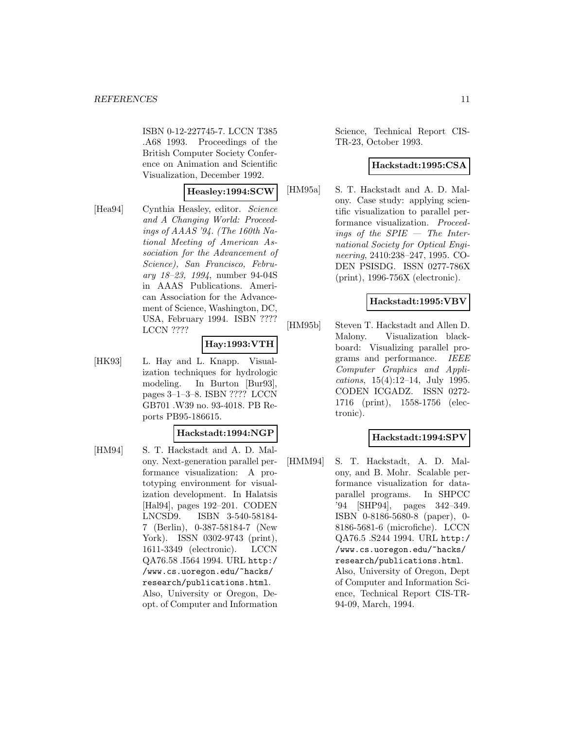ISBN 0-12-227745-7. LCCN T385 .A68 1993. Proceedings of the British Computer Society Conference on Animation and Scientific Visualization, December 1992.

#### **Heasley:1994:SCW**

[Hea94] Cynthia Heasley, editor. Science and A Changing World: Proceedings of AAAS '94. (The 160th National Meeting of American Association for the Advancement of Science), San Francisco, February 18–23, 1994, number 94-04S in AAAS Publications. American Association for the Advancement of Science, Washington, DC, USA, February 1994. ISBN ???? LCCN ????

# **Hay:1993:VTH**

[HK93] L. Hay and L. Knapp. Visualization techniques for hydrologic modeling. In Burton [Bur93], pages 3–1–3–8. ISBN ???? LCCN GB701 .W39 no. 93-4018. PB Reports PB95-186615.

# **Hackstadt:1994:NGP**

[HM94] S. T. Hackstadt and A. D. Malony. Next-generation parallel performance visualization: A prototyping environment for visualization development. In Halatsis [Hal94], pages 192–201. CODEN LNCSD9. ISBN 3-540-58184- 7 (Berlin), 0-387-58184-7 (New York). ISSN 0302-9743 (print), 1611-3349 (electronic). LCCN QA76.58 .I564 1994. URL http:/ /www.cs.uoregon.edu/~hacks/ research/publications.html. Also, University or Oregon, Deopt. of Computer and Information

Science, Technical Report CIS-TR-23, October 1993.

#### **Hackstadt:1995:CSA**

[HM95a] S. T. Hackstadt and A. D. Malony. Case study: applying scientific visualization to parallel performance visualization. Proceedings of the SPIE — The International Society for Optical Engineering, 2410:238–247, 1995. CO-DEN PSISDG. ISSN 0277-786X (print), 1996-756X (electronic).

# **Hackstadt:1995:VBV**

[HM95b] Steven T. Hackstadt and Allen D. Malony. Visualization blackboard: Visualizing parallel programs and performance. IEEE Computer Graphics and Applications, 15(4):12–14, July 1995. CODEN ICGADZ. ISSN 0272- 1716 (print), 1558-1756 (electronic).

# **Hackstadt:1994:SPV**

[HMM94] S. T. Hackstadt, A. D. Malony, and B. Mohr. Scalable performance visualization for dataparallel programs. In SHPCC '94 [SHP94], pages 342–349. ISBN 0-8186-5680-8 (paper), 0- 8186-5681-6 (microfiche). LCCN QA76.5 .S244 1994. URL http:/ /www.cs.uoregon.edu/~hacks/ research/publications.html. Also, University of Oregon, Dept of Computer and Information Science, Technical Report CIS-TR-94-09, March, 1994.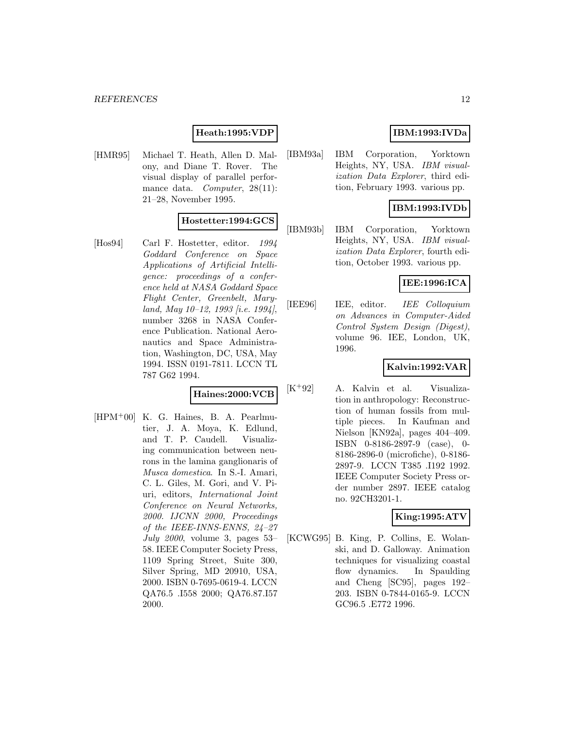#### *REFERENCES* 12

# **Heath:1995:VDP**

[HMR95] Michael T. Heath, Allen D. Malony, and Diane T. Rover. The visual display of parallel performance data. *Computer*, 28(11): 21–28, November 1995.

#### **Hostetter:1994:GCS**

[Hos94] Carl F. Hostetter, editor. 1994 Goddard Conference on Space Applications of Artificial Intelligence: proceedings of a conference held at NASA Goddard Space Flight Center, Greenbelt, Maryland, May  $10-12$ , 1993 [i.e. 1994], number 3268 in NASA Conference Publication. National Aeronautics and Space Administration, Washington, DC, USA, May 1994. ISSN 0191-7811. LCCN TL 787 G62 1994.

#### **Haines:2000:VCB**

 $[HPM^+00]$  K. G. Haines, B. A. Pearlmutier, J. A. Moya, K. Edlund, and T. P. Caudell. Visualizing communication between neurons in the lamina ganglionaris of Musca domestica. In S.-I. Amari, C. L. Giles, M. Gori, and V. Piuri, editors, International Joint Conference on Neural Networks, 2000. IJCNN 2000, Proceedings of the IEEE-INNS-ENNS, 24–27 July 2000, volume 3, pages  $53-$ 58. IEEE Computer Society Press, 1109 Spring Street, Suite 300, Silver Spring, MD 20910, USA, 2000. ISBN 0-7695-0619-4. LCCN QA76.5 .I558 2000; QA76.87.I57 2000.

# **IBM:1993:IVDa**

[IBM93a] IBM Corporation, Yorktown Heights, NY, USA. IBM visualization Data Explorer, third edition, February 1993. various pp.

# **IBM:1993:IVDb**

[IBM93b] IBM Corporation, Yorktown Heights, NY, USA. IBM visualization Data Explorer, fourth edition, October 1993. various pp.

#### **IEE:1996:ICA**

[IEE96] IEE, editor. IEE Colloquium on Advances in Computer-Aided Control System Design (Digest), volume 96. IEE, London, UK, 1996.

# **Kalvin:1992:VAR**

[K<sup>+</sup>92] A. Kalvin et al. Visualization in anthropology: Reconstruction of human fossils from multiple pieces. In Kaufman and Nielson [KN92a], pages 404–409. ISBN 0-8186-2897-9 (case), 0- 8186-2896-0 (microfiche), 0-8186- 2897-9. LCCN T385 .I192 1992. IEEE Computer Society Press order number 2897. IEEE catalog no. 92CH3201-1.

# **King:1995:ATV**

[KCWG95] B. King, P. Collins, E. Wolanski, and D. Galloway. Animation techniques for visualizing coastal flow dynamics. In Spaulding and Cheng [SC95], pages 192– 203. ISBN 0-7844-0165-9. LCCN GC96.5 .E772 1996.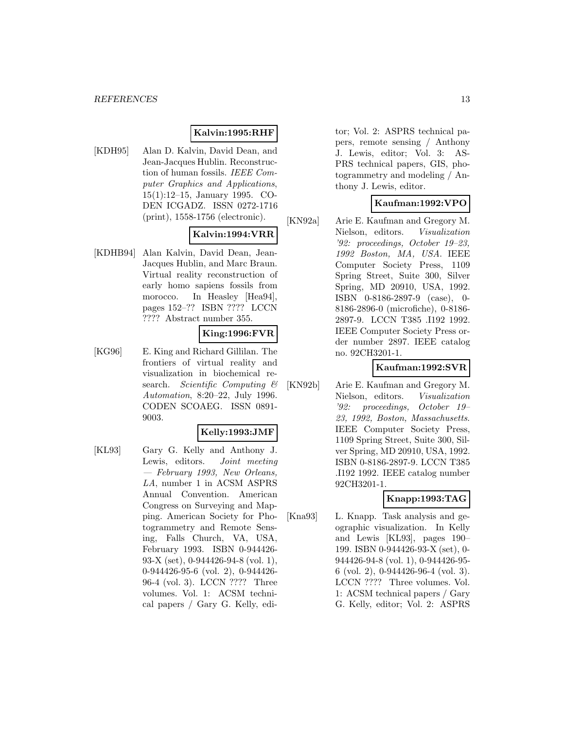# **Kalvin:1995:RHF**

[KDH95] Alan D. Kalvin, David Dean, and Jean-Jacques Hublin. Reconstruction of human fossils. IEEE Computer Graphics and Applications, 15(1):12–15, January 1995. CO-DEN ICGADZ. ISSN 0272-1716 (print), 1558-1756 (electronic).

# **Kalvin:1994:VRR**

[KDHB94] Alan Kalvin, David Dean, Jean-Jacques Hublin, and Marc Braun. Virtual reality reconstruction of early homo sapiens fossils from morocco. In Heasley [Hea94], pages 152–?? ISBN ???? LCCN ???? Abstract number 355.

#### **King:1996:FVR**

[KG96] E. King and Richard Gillilan. The frontiers of virtual reality and visualization in biochemical research. Scientific Computing  $\mathcal B$ Automation, 8:20–22, July 1996. CODEN SCOAEG. ISSN 0891- 9003.

#### **Kelly:1993:JMF**

[KL93] Gary G. Kelly and Anthony J. Lewis, editors. Joint meeting — February 1993, New Orleans, LA, number 1 in ACSM ASPRS Annual Convention. American Congress on Surveying and Mapping. American Society for Photogrammetry and Remote Sensing, Falls Church, VA, USA, February 1993. ISBN 0-944426- 93-X (set), 0-944426-94-8 (vol. 1), 0-944426-95-6 (vol. 2), 0-944426- 96-4 (vol. 3). LCCN ???? Three volumes. Vol. 1: ACSM technical papers / Gary G. Kelly, editor; Vol. 2: ASPRS technical papers, remote sensing / Anthony J. Lewis, editor; Vol. 3: AS-PRS technical papers, GIS, photogrammetry and modeling / Anthony J. Lewis, editor.

# **Kaufman:1992:VPO**

[KN92a] Arie E. Kaufman and Gregory M. Nielson, editors. Visualization '92: proceedings, October 19–23, 1992 Boston, MA, USA. IEEE Computer Society Press, 1109 Spring Street, Suite 300, Silver Spring, MD 20910, USA, 1992. ISBN 0-8186-2897-9 (case), 0- 8186-2896-0 (microfiche), 0-8186- 2897-9. LCCN T385 .I192 1992. IEEE Computer Society Press order number 2897. IEEE catalog no. 92CH3201-1.

# **Kaufman:1992:SVR**

[KN92b] Arie E. Kaufman and Gregory M. Nielson, editors. Visualization '92: proceedings, October 19– 23, 1992, Boston, Massachusetts. IEEE Computer Society Press, 1109 Spring Street, Suite 300, Silver Spring, MD 20910, USA, 1992. ISBN 0-8186-2897-9. LCCN T385 .I192 1992. IEEE catalog number 92CH3201-1.

# **Knapp:1993:TAG**

[Kna93] L. Knapp. Task analysis and geographic visualization. In Kelly and Lewis [KL93], pages 190– 199. ISBN 0-944426-93-X (set), 0- 944426-94-8 (vol. 1), 0-944426-95- 6 (vol. 2), 0-944426-96-4 (vol. 3). LCCN ???? Three volumes. Vol. 1: ACSM technical papers / Gary G. Kelly, editor; Vol. 2: ASPRS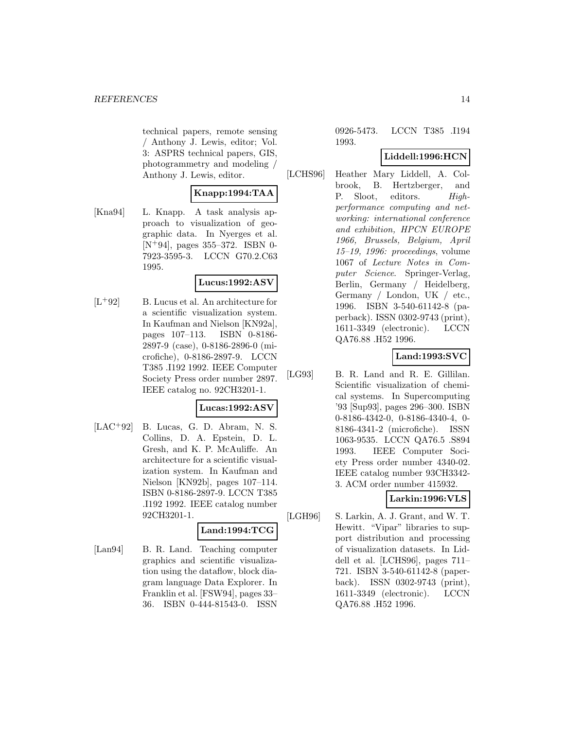technical papers, remote sensing / Anthony J. Lewis, editor; Vol. 3: ASPRS technical papers, GIS, photogrammetry and modeling / Anthony J. Lewis, editor.

# **Knapp:1994:TAA**

[Kna94] L. Knapp. A task analysis approach to visualization of geographic data. In Nyerges et al. [N<sup>+</sup>94], pages 355–372. ISBN 0- 7923-3595-3. LCCN G70.2.C63 1995.

# **Lucus:1992:ASV**

 $[L+92]$  B. Lucus et al. An architecture for a scientific visualization system. In Kaufman and Nielson [KN92a], pages 107–113. ISBN 0-8186- 2897-9 (case), 0-8186-2896-0 (microfiche), 0-8186-2897-9. LCCN T385 .I192 1992. IEEE Computer Society Press order number 2897. IEEE catalog no. 92CH3201-1.

# **Lucas:1992:ASV**

 $[LAC+92]$  B. Lucas, G. D. Abram, N. S. Collins, D. A. Epstein, D. L. Gresh, and K. P. McAuliffe. An architecture for a scientific visualization system. In Kaufman and Nielson [KN92b], pages 107–114. ISBN 0-8186-2897-9. LCCN T385 .I192 1992. IEEE catalog number 92CH3201-1.

# **Land:1994:TCG**

[Lan94] B. R. Land. Teaching computer graphics and scientific visualization using the dataflow, block diagram language Data Explorer. In Franklin et al. [FSW94], pages 33– 36. ISBN 0-444-81543-0. ISSN

0926-5473. LCCN T385 .I194 1993.

# **Liddell:1996:HCN**

[LCHS96] Heather Mary Liddell, A. Colbrook, B. Hertzberger, and P. Sloot, editors. Highperformance computing and networking: international conference and exhibition, HPCN EUROPE 1966, Brussels, Belgium, April 15–19, 1996: proceedings, volume 1067 of Lecture Notes in Computer Science. Springer-Verlag, Berlin, Germany / Heidelberg, Germany / London, UK / etc., 1996. ISBN 3-540-61142-8 (paperback). ISSN 0302-9743 (print), 1611-3349 (electronic). LCCN QA76.88 .H52 1996.

# **Land:1993:SVC**

[LG93] B. R. Land and R. E. Gillilan. Scientific visualization of chemical systems. In Supercomputing '93 [Sup93], pages 296–300. ISBN 0-8186-4342-0, 0-8186-4340-4, 0- 8186-4341-2 (microfiche). ISSN 1063-9535. LCCN QA76.5 .S894 1993. IEEE Computer Society Press order number 4340-02. IEEE catalog number 93CH3342- 3. ACM order number 415932.

# **Larkin:1996:VLS**

[LGH96] S. Larkin, A. J. Grant, and W. T. Hewitt. "Vipar" libraries to support distribution and processing of visualization datasets. In Liddell et al. [LCHS96], pages 711– 721. ISBN 3-540-61142-8 (paperback). ISSN 0302-9743 (print), 1611-3349 (electronic). LCCN QA76.88 .H52 1996.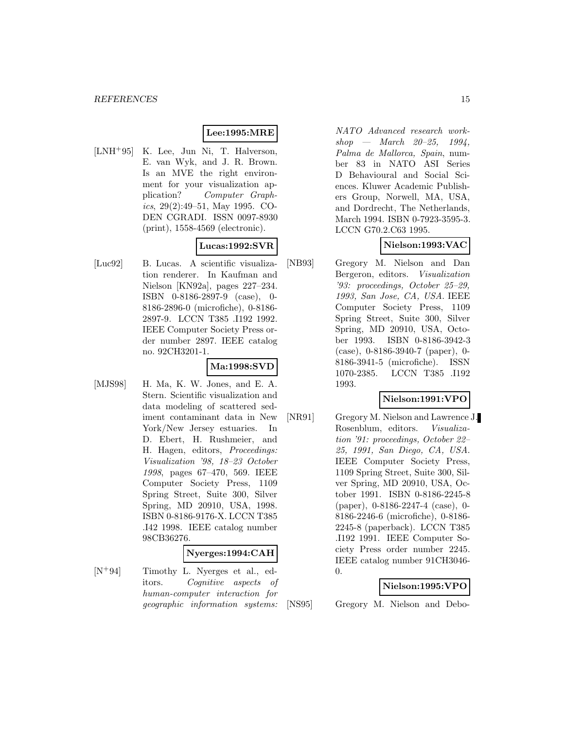# **Lee:1995:MRE**

[LNH<sup>+</sup>95] K. Lee, Jun Ni, T. Halverson, E. van Wyk, and J. R. Brown. Is an MVE the right environment for your visualization application? Computer Graphics,  $29(2):49-51$ , May 1995. CO-DEN CGRADI. ISSN 0097-8930 (print), 1558-4569 (electronic).

# **Lucas:1992:SVR**

[Luc92] B. Lucas. A scientific visualization renderer. In Kaufman and Nielson [KN92a], pages 227–234. ISBN 0-8186-2897-9 (case), 0- 8186-2896-0 (microfiche), 0-8186- 2897-9. LCCN T385 .I192 1992. IEEE Computer Society Press order number 2897. IEEE catalog no. 92CH3201-1.

# **Ma:1998:SVD**

[MJS98] H. Ma, K. W. Jones, and E. A. Stern. Scientific visualization and data modeling of scattered sediment contaminant data in New York/New Jersey estuaries. In D. Ebert, H. Rushmeier, and H. Hagen, editors, Proceedings: Visualization '98, 18–23 October 1998, pages 67–470, 569. IEEE Computer Society Press, 1109 Spring Street, Suite 300, Silver Spring, MD 20910, USA, 1998. ISBN 0-8186-9176-X. LCCN T385 .I42 1998. IEEE catalog number 98CB36276.

# **Nyerges:1994:CAH**

[N<sup>+</sup>94] Timothy L. Nyerges et al., editors. Cognitive aspects of human-computer interaction for geographic information systems: NATO Advanced research work $shop$  — March 20-25, 1994, Palma de Mallorca, Spain, number 83 in NATO ASI Series D Behavioural and Social Sciences. Kluwer Academic Publishers Group, Norwell, MA, USA, and Dordrecht, The Netherlands, March 1994. ISBN 0-7923-3595-3. LCCN G70.2.C63 1995.

# **Nielson:1993:VAC**

[NB93] Gregory M. Nielson and Dan Bergeron, editors. Visualization '93: proceedings, October 25–29, 1993, San Jose, CA, USA. IEEE Computer Society Press, 1109 Spring Street, Suite 300, Silver Spring, MD 20910, USA, October 1993. ISBN 0-8186-3942-3 (case), 0-8186-3940-7 (paper), 0- 8186-3941-5 (microfiche). ISSN 1070-2385. LCCN T385 .I192 1993.

# **Nielson:1991:VPO**

[NR91] Gregory M. Nielson and Lawrence J. Rosenblum, editors. Visualization '91: proceedings, October 22– 25, 1991, San Diego, CA, USA. IEEE Computer Society Press, 1109 Spring Street, Suite 300, Silver Spring, MD 20910, USA, October 1991. ISBN 0-8186-2245-8 (paper), 0-8186-2247-4 (case), 0- 8186-2246-6 (microfiche), 0-8186- 2245-8 (paperback). LCCN T385 .I192 1991. IEEE Computer Society Press order number 2245. IEEE catalog number 91CH3046-  $\Omega$ .

# **Nielson:1995:VPO**

[NS95] Gregory M. Nielson and Debo-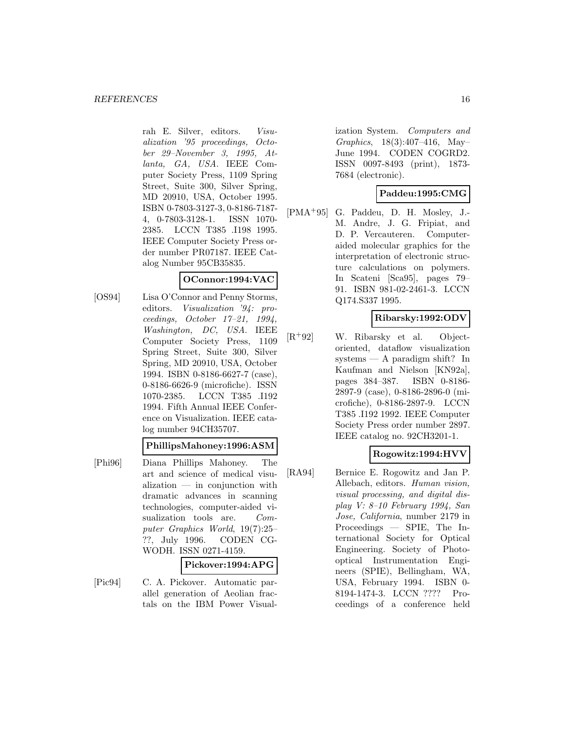rah E. Silver, editors. Visualization '95 proceedings, October 29–November 3, 1995, Atlanta, GA, USA. IEEE Computer Society Press, 1109 Spring Street, Suite 300, Silver Spring, MD 20910, USA, October 1995. ISBN 0-7803-3127-3, 0-8186-7187- 4, 0-7803-3128-1. ISSN 1070- 2385. LCCN T385 .I198 1995. IEEE Computer Society Press order number PR07187. IEEE Catalog Number 95CB35835.

#### **OConnor:1994:VAC**

[OS94] Lisa O'Connor and Penny Storms, editors. Visualization '94: proceedings, October 17–21, 1994, Washington, DC, USA. IEEE Computer Society Press, 1109 Spring Street, Suite 300, Silver Spring, MD 20910, USA, October 1994. ISBN 0-8186-6627-7 (case), 0-8186-6626-9 (microfiche). ISSN 1070-2385. LCCN T385 .I192 1994. Fifth Annual IEEE Conference on Visualization. IEEE catalog number 94CH35707.

#### **PhillipsMahoney:1996:ASM**

[Phi96] Diana Phillips Mahoney. The art and science of medical visualization — in conjunction with dramatic advances in scanning technologies, computer-aided visualization tools are. Computer Graphics World, 19(7):25– ??, July 1996. CODEN CG-WODH. ISSN 0271-4159.

# **Pickover:1994:APG**

[Pic94] C. A. Pickover. Automatic parallel generation of Aeolian fractals on the IBM Power Visualization System. Computers and Graphics, 18(3):407–416, May– June 1994. CODEN COGRD2. ISSN 0097-8493 (print), 1873- 7684 (electronic).

# **Paddeu:1995:CMG**

[PMA<sup>+</sup>95] G. Paddeu, D. H. Mosley, J.- M. Andre, J. G. Fripiat, and D. P. Vercauteren. Computeraided molecular graphics for the interpretation of electronic structure calculations on polymers. In Scateni [Sca95], pages 79– 91. ISBN 981-02-2461-3. LCCN Q174.S337 1995.

# **Ribarsky:1992:ODV**

[R<sup>+</sup>92] W. Ribarsky et al. Objectoriented, dataflow visualization systems — A paradigm shift? In Kaufman and Nielson [KN92a], pages 384–387. ISBN 0-8186- 2897-9 (case), 0-8186-2896-0 (microfiche), 0-8186-2897-9. LCCN T385 .I192 1992. IEEE Computer Society Press order number 2897. IEEE catalog no. 92CH3201-1.

# **Rogowitz:1994:HVV**

[RA94] Bernice E. Rogowitz and Jan P. Allebach, editors. Human vision, visual processing, and digital display V: 8–10 February 1994, San Jose, California, number 2179 in Proceedings — SPIE, The International Society for Optical Engineering. Society of Photooptical Instrumentation Engineers (SPIE), Bellingham, WA, USA, February 1994. ISBN 0- 8194-1474-3. LCCN ???? Proceedings of a conference held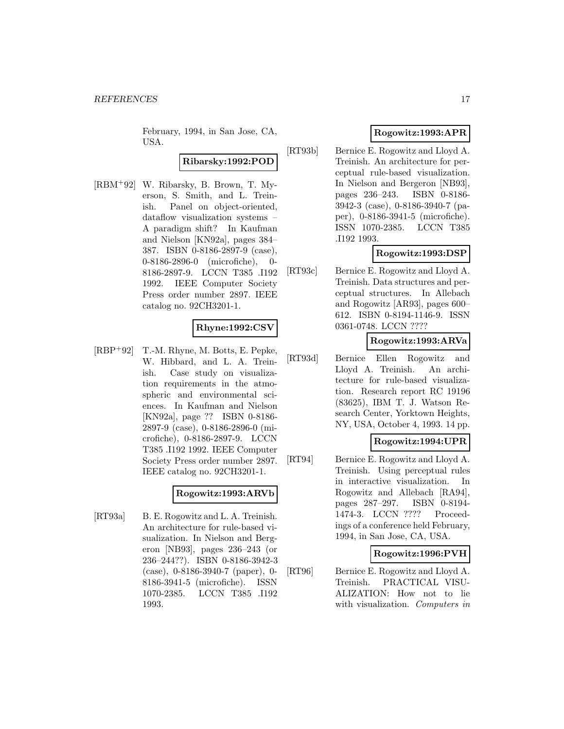February, 1994, in San Jose, CA, USA.

# **Ribarsky:1992:POD**

[RBM<sup>+</sup>92] W. Ribarsky, B. Brown, T. Myerson, S. Smith, and L. Treinish. Panel on object-oriented, dataflow visualization systems – A paradigm shift? In Kaufman and Nielson [KN92a], pages 384– 387. ISBN 0-8186-2897-9 (case), 0-8186-2896-0 (microfiche), 0- 8186-2897-9. LCCN T385 .I192 1992. IEEE Computer Society Press order number 2897. IEEE catalog no. 92CH3201-1.

#### **Rhyne:1992:CSV**

[RBP<sup>+</sup>92] T.-M. Rhyne, M. Botts, E. Pepke, W. Hibbard, and L. A. Treinish. Case study on visualization requirements in the atmospheric and environmental sciences. In Kaufman and Nielson [KN92a], page ?? ISBN 0-8186- 2897-9 (case), 0-8186-2896-0 (microfiche), 0-8186-2897-9. LCCN T385 .I192 1992. IEEE Computer Society Press order number 2897. IEEE catalog no. 92CH3201-1.

# **Rogowitz:1993:ARVb**

[RT93a] B. E. Rogowitz and L. A. Treinish. An architecture for rule-based visualization. In Nielson and Bergeron [NB93], pages 236–243 (or 236–244??). ISBN 0-8186-3942-3 (case), 0-8186-3940-7 (paper), 0- 8186-3941-5 (microfiche). ISSN 1070-2385. LCCN T385 .I192 1993.

# **Rogowitz:1993:APR**

[RT93b] Bernice E. Rogowitz and Lloyd A. Treinish. An architecture for perceptual rule-based visualization. In Nielson and Bergeron [NB93], pages 236–243. ISBN 0-8186- 3942-3 (case), 0-8186-3940-7 (paper), 0-8186-3941-5 (microfiche). ISSN 1070-2385. LCCN T385 .I192 1993.

# **Rogowitz:1993:DSP**

[RT93c] Bernice E. Rogowitz and Lloyd A. Treinish. Data structures and perceptual structures. In Allebach and Rogowitz [AR93], pages 600– 612. ISBN 0-8194-1146-9. ISSN 0361-0748. LCCN ????

#### **Rogowitz:1993:ARVa**

[RT93d] Bernice Ellen Rogowitz and Lloyd A. Treinish. An architecture for rule-based visualization. Research report RC 19196 (83625), IBM T. J. Watson Research Center, Yorktown Heights, NY, USA, October 4, 1993. 14 pp.

# **Rogowitz:1994:UPR**

[RT94] Bernice E. Rogowitz and Lloyd A. Treinish. Using perceptual rules in interactive visualization. In Rogowitz and Allebach [RA94], pages 287–297. ISBN 0-8194- 1474-3. LCCN ???? Proceedings of a conference held February, 1994, in San Jose, CA, USA.

# **Rogowitz:1996:PVH**

[RT96] Bernice E. Rogowitz and Lloyd A. Treinish. PRACTICAL VISU-ALIZATION: How not to lie with visualization. *Computers in*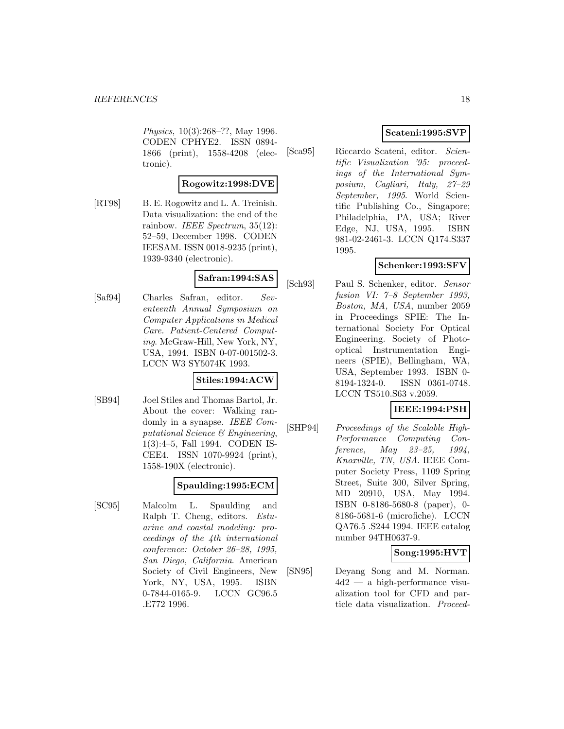Physics, 10(3):268–??, May 1996. CODEN CPHYE2. ISSN 0894- 1866 (print), 1558-4208 (electronic).

#### **Rogowitz:1998:DVE**

[RT98] B. E. Rogowitz and L. A. Treinish. Data visualization: the end of the rainbow. IEEE Spectrum,  $35(12)$ : 52–59, December 1998. CODEN IEESAM. ISSN 0018-9235 (print), 1939-9340 (electronic).

# **Safran:1994:SAS**

[Saf94] Charles Safran, editor. Seventeenth Annual Symposium on Computer Applications in Medical Care. Patient-Centered Computing. McGraw-Hill, New York, NY, USA, 1994. ISBN 0-07-001502-3. LCCN W3 SY5074K 1993.

# **Stiles:1994:ACW**

[SB94] Joel Stiles and Thomas Bartol, Jr. About the cover: Walking randomly in a synapse. IEEE Computational Science & Engineering, 1(3):4–5, Fall 1994. CODEN IS-CEE4. ISSN 1070-9924 (print), 1558-190X (electronic).

# **Spaulding:1995:ECM**

[SC95] Malcolm L. Spaulding and Ralph T. Cheng, editors. Estuarine and coastal modeling: proceedings of the 4th international conference: October 26–28, 1995, San Diego, California. American Society of Civil Engineers, New York, NY, USA, 1995. ISBN 0-7844-0165-9. LCCN GC96.5 .E772 1996.

# **Scateni:1995:SVP**

[Sca95] Riccardo Scateni, editor. Scientific Visualization '95: proceedings of the International Symposium, Cagliari, Italy, 27–29 September, 1995. World Scientific Publishing Co., Singapore; Philadelphia, PA, USA; River Edge, NJ, USA, 1995. ISBN 981-02-2461-3. LCCN Q174.S337 1995.

# **Schenker:1993:SFV**

[Sch93] Paul S. Schenker, editor. Sensor fusion VI: 7–8 September 1993, Boston, MA, USA, number 2059 in Proceedings SPIE: The International Society For Optical Engineering. Society of Photooptical Instrumentation Engineers (SPIE), Bellingham, WA, USA, September 1993. ISBN 0- 8194-1324-0. ISSN 0361-0748. LCCN TS510.S63 v.2059.

# **IEEE:1994:PSH**

[SHP94] Proceedings of the Scalable High-Performance Computing Conference, May 23-25, 1994, Knoxville, TN, USA. IEEE Computer Society Press, 1109 Spring Street, Suite 300, Silver Spring, MD 20910, USA, May 1994. ISBN 0-8186-5680-8 (paper), 0- 8186-5681-6 (microfiche). LCCN QA76.5 .S244 1994. IEEE catalog number 94TH0637-9.

# **Song:1995:HVT**

[SN95] Deyang Song and M. Norman. 4d2 — a high-performance visualization tool for CFD and particle data visualization. Proceed-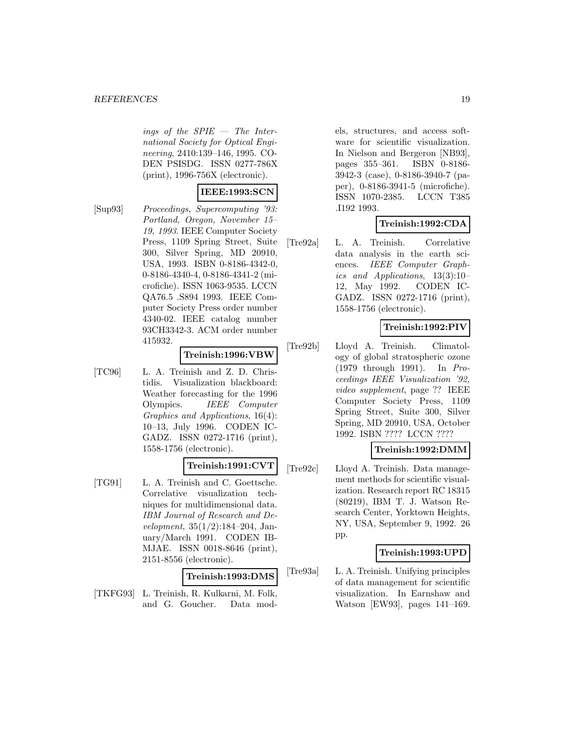ings of the SPIE — The International Society for Optical Engineering, 2410:139–146, 1995. CO-DEN PSISDG. ISSN 0277-786X (print), 1996-756X (electronic).

#### **IEEE:1993:SCN**

[Sup93] Proceedings, Supercomputing '93: Portland, Oregon, November 15– 19, 1993. IEEE Computer Society Press, 1109 Spring Street, Suite 300, Silver Spring, MD 20910, USA, 1993. ISBN 0-8186-4342-0, 0-8186-4340-4, 0-8186-4341-2 (microfiche). ISSN 1063-9535. LCCN QA76.5 .S894 1993. IEEE Computer Society Press order number 4340-02. IEEE catalog number 93CH3342-3. ACM order number 415932.

#### **Treinish:1996:VBW**

[TC96] L. A. Treinish and Z. D. Christidis. Visualization blackboard: Weather forecasting for the 1996 Olympics. *IEEE Computer* Graphics and Applications, 16(4): 10–13, July 1996. CODEN IC-GADZ. ISSN 0272-1716 (print), 1558-1756 (electronic).

# **Treinish:1991:CVT**

[TG91] L. A. Treinish and C. Goettsche. Correlative visualization techniques for multidimensional data. IBM Journal of Research and Development, 35(1/2):184–204, January/March 1991. CODEN IB-MJAE. ISSN 0018-8646 (print), 2151-8556 (electronic).

#### **Treinish:1993:DMS**

[TKFG93] L. Treinish, R. Kulkarni, M. Folk, and G. Goucher. Data models, structures, and access software for scientific visualization. In Nielson and Bergeron [NB93], pages 355–361. ISBN 0-8186- 3942-3 (case), 0-8186-3940-7 (paper), 0-8186-3941-5 (microfiche). ISSN 1070-2385. LCCN T385 .I192 1993.

# **Treinish:1992:CDA**

[Tre92a] L. A. Treinish. Correlative data analysis in the earth sciences. IEEE Computer Graphics and Applications, 13(3):10– 12, May 1992. CODEN IC-GADZ. ISSN 0272-1716 (print), 1558-1756 (electronic).

# **Treinish:1992:PIV**

[Tre92b] Lloyd A. Treinish. Climatology of global stratospheric ozone (1979 through 1991). In Proceedings IEEE Visualization '92, video supplement, page ?? IEEE Computer Society Press, 1109 Spring Street, Suite 300, Silver Spring, MD 20910, USA, October 1992. ISBN ???? LCCN ????

# **Treinish:1992:DMM**

[Tre92c] Lloyd A. Treinish. Data management methods for scientific visualization. Research report RC 18315 (80219), IBM T. J. Watson Research Center, Yorktown Heights, NY, USA, September 9, 1992. 26 pp.

# **Treinish:1993:UPD**

[Tre93a] L. A. Treinish. Unifying principles of data management for scientific visualization. In Earnshaw and Watson [EW93], pages 141–169.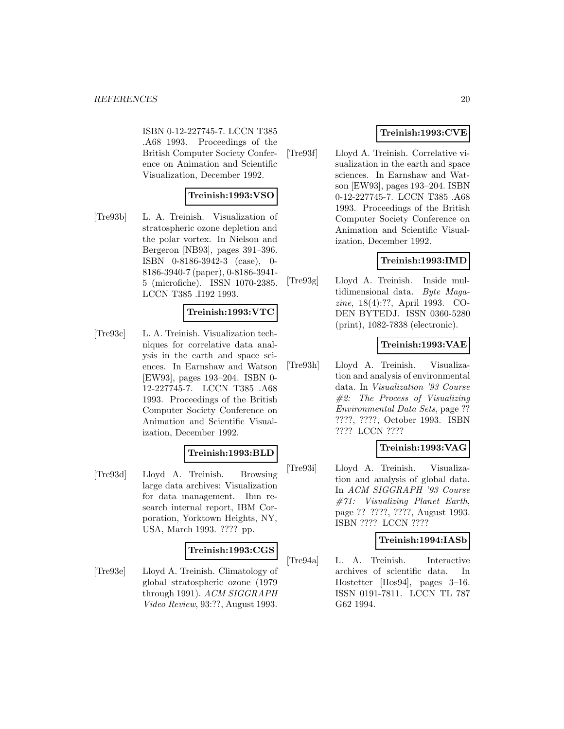ISBN 0-12-227745-7. LCCN T385 .A68 1993. Proceedings of the British Computer Society Conference on Animation and Scientific Visualization, December 1992.

# **Treinish:1993:VSO**

[Tre93b] L. A. Treinish. Visualization of stratospheric ozone depletion and the polar vortex. In Nielson and Bergeron [NB93], pages 391–396. ISBN 0-8186-3942-3 (case), 0- 8186-3940-7 (paper), 0-8186-3941- 5 (microfiche). ISSN 1070-2385. LCCN T385 .I192 1993.

#### **Treinish:1993:VTC**

[Tre93c] L. A. Treinish. Visualization techniques for correlative data analysis in the earth and space sciences. In Earnshaw and Watson [EW93], pages 193–204. ISBN 0- 12-227745-7. LCCN T385 .A68 1993. Proceedings of the British Computer Society Conference on Animation and Scientific Visualization, December 1992.

# **Treinish:1993:BLD**

[Tre93d] Lloyd A. Treinish. Browsing large data archives: Visualization for data management. Ibm research internal report, IBM Corporation, Yorktown Heights, NY, USA, March 1993. ???? pp.

# **Treinish:1993:CGS**

[Tre93e] Lloyd A. Treinish. Climatology of global stratospheric ozone (1979 through 1991). ACM SIGGRAPH Video Review, 93:??, August 1993.

# **Treinish:1993:CVE**

[Tre93f] Lloyd A. Treinish. Correlative visualization in the earth and space sciences. In Earnshaw and Watson [EW93], pages 193–204. ISBN 0-12-227745-7. LCCN T385 .A68 1993. Proceedings of the British Computer Society Conference on Animation and Scientific Visualization, December 1992.

# **Treinish:1993:IMD**

[Tre93g] Lloyd A. Treinish. Inside multidimensional data. Byte Magazine, 18(4):??, April 1993. CO-DEN BYTEDJ. ISSN 0360-5280 (print), 1082-7838 (electronic).

# **Treinish:1993:VAE**

[Tre93h] Lloyd A. Treinish. Visualization and analysis of environmental data. In Visualization '93 Course #2: The Process of Visualizing Environmental Data Sets, page ?? ????, ????, October 1993. ISBN ???? LCCN ????

# **Treinish:1993:VAG**

[Tre93i] Lloyd A. Treinish. Visualization and analysis of global data. In ACM SIGGRAPH '93 Course #71: Visualizing Planet Earth, page ?? ????, ????, August 1993. ISBN ???? LCCN ????

# **Treinish:1994:IASb**

[Tre94a] L. A. Treinish. Interactive archives of scientific data. In Hostetter [Hos94], pages 3–16. ISSN 0191-7811. LCCN TL 787 G62 1994.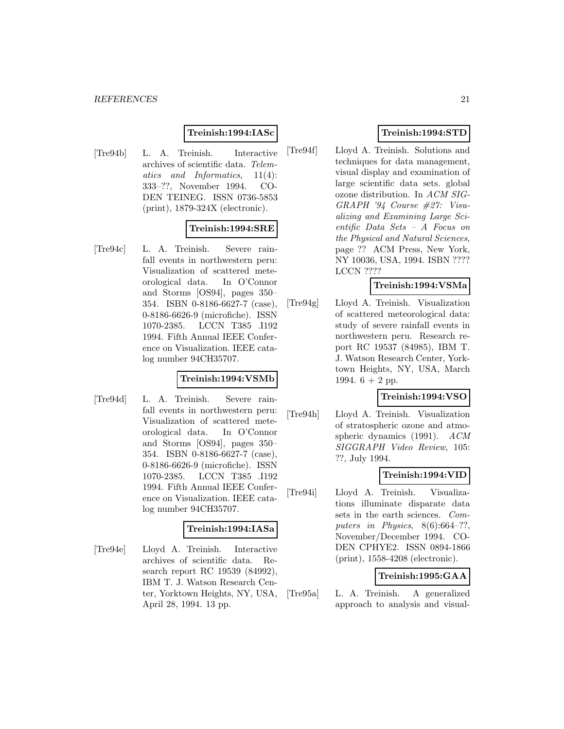#### **Treinish:1994:IASc**

[Tre94b] L. A. Treinish. Interactive archives of scientific data. Telematics and Informatics, 11(4): 333–??, November 1994. CO-DEN TEINEG. ISSN 0736-5853 (print), 1879-324X (electronic).

#### **Treinish:1994:SRE**

[Tre94c] L. A. Treinish. Severe rainfall events in northwestern peru: Visualization of scattered meteorological data. In O'Connor and Storms [OS94], pages 350– 354. ISBN 0-8186-6627-7 (case), 0-8186-6626-9 (microfiche). ISSN 1070-2385. LCCN T385 .I192 1994. Fifth Annual IEEE Conference on Visualization. IEEE catalog number 94CH35707.

#### **Treinish:1994:VSMb**

[Tre94d] L. A. Treinish. Severe rainfall events in northwestern peru: Visualization of scattered meteorological data. In O'Connor and Storms [OS94], pages 350– 354. ISBN 0-8186-6627-7 (case), 0-8186-6626-9 (microfiche). ISSN 1070-2385. LCCN T385 .I192 1994. Fifth Annual IEEE Conference on Visualization. IEEE catalog number 94CH35707.

#### **Treinish:1994:IASa**

[Tre94e] Lloyd A. Treinish. Interactive archives of scientific data. Research report RC 19539 (84992), IBM T. J. Watson Research Center, Yorktown Heights, NY, USA, April 28, 1994. 13 pp.

# **Treinish:1994:STD**

[Tre94f] Lloyd A. Treinish. Solutions and techniques for data management, visual display and examination of large scientific data sets. global ozone distribution. In ACM SIG-GRAPH '94 Course #27: Visualizing and Examining Large Scientific Data Sets – A Focus on the Physical and Natural Sciences, page ?? ACM Press, New York, NY 10036, USA, 1994. ISBN ???? LCCN ????

#### **Treinish:1994:VSMa**

[Tre94g] Lloyd A. Treinish. Visualization of scattered meteorological data: study of severe rainfall events in northwestern peru. Research report RC 19537 (84985), IBM T. J. Watson Research Center, Yorktown Heights, NY, USA, March 1994.  $6 + 2$  pp.

#### **Treinish:1994:VSO**

[Tre94h] Lloyd A. Treinish. Visualization of stratospheric ozone and atmospheric dynamics (1991).  $ACM$ SIGGRAPH Video Review, 105: ??, July 1994.

# **Treinish:1994:VID**

[Tre94i] Lloyd A. Treinish. Visualizations illuminate disparate data sets in the earth sciences. Computers in Physics,  $8(6):664-??$ , November/December 1994. CO-DEN CPHYE2. ISSN 0894-1866 (print), 1558-4208 (electronic).

# **Treinish:1995:GAA**

[Tre95a] L. A. Treinish. A generalized approach to analysis and visual